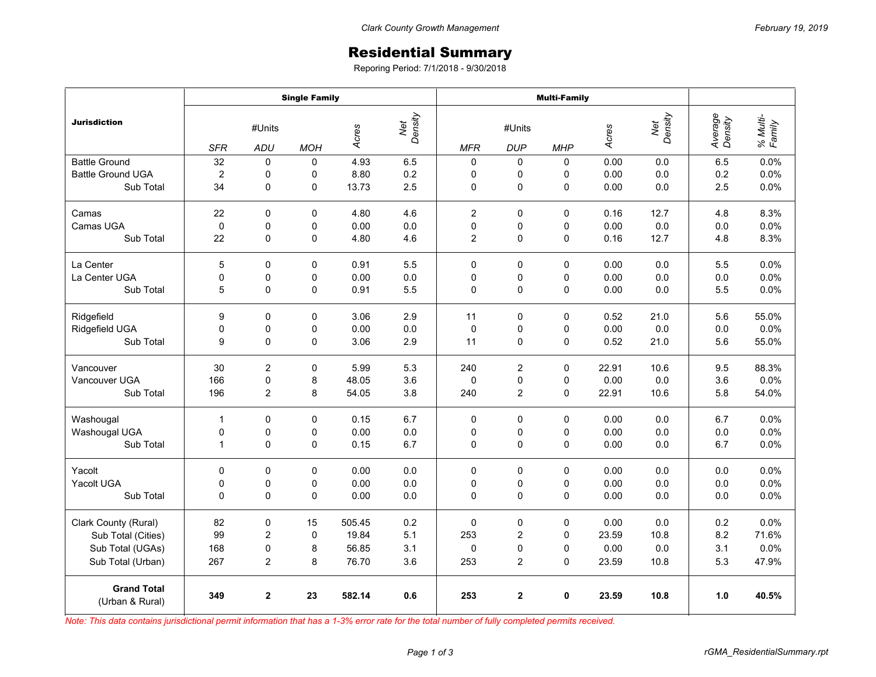## Residential Summary

Reporing Period: 7/1/2018 - 9/30/2018

|                                       | <b>Single Family</b> |                |             |                         |     | <b>Multi-Family</b> |                  |            |       |                |                    |                    |
|---------------------------------------|----------------------|----------------|-------------|-------------------------|-----|---------------------|------------------|------------|-------|----------------|--------------------|--------------------|
| <b>Jurisdiction</b>                   | #Units               |                |             | Net<br>Density<br>Acres |     | #Units              |                  |            | Acres | Net<br>Density | Average<br>Density | % Multi-<br>Family |
|                                       | <b>SFR</b>           | ADU            | <b>MOH</b>  |                         |     | <b>MFR</b>          | <b>DUP</b>       | <b>MHP</b> |       |                |                    |                    |
| <b>Battle Ground</b>                  | 32                   | $\Omega$       | $\mathbf 0$ | 4.93                    | 6.5 | 0                   | 0                | 0          | 0.00  | 0.0            | 6.5                | 0.0%               |
| <b>Battle Ground UGA</b>              | $\overline{c}$       | 0              | 0           | 8.80                    | 0.2 | 0                   | 0                | 0          | 0.00  | 0.0            | 0.2                | 0.0%               |
| Sub Total                             | 34                   | 0              | 0           | 13.73                   | 2.5 | 0                   | 0                | $\pmb{0}$  | 0.00  | 0.0            | 2.5                | 0.0%               |
| Camas                                 | 22                   | 0              | 0           | 4.80                    | 4.6 | $\overline{2}$      | 0                | $\Omega$   | 0.16  | 12.7           | 4.8                | 8.3%               |
| Camas UGA                             | $\pmb{0}$            | 0              | 0           | 0.00                    | 0.0 | 0                   | 0                | 0          | 0.00  | 0.0            | 0.0                | 0.0%               |
| Sub Total                             | 22                   | 0              | 0           | 4.80                    | 4.6 | $\overline{2}$      | $\mathbf 0$      | 0          | 0.16  | 12.7           | 4.8                | 8.3%               |
| La Center                             | 5                    | 0              | 0           | 0.91                    | 5.5 | 0                   | 0                | 0          | 0.00  | 0.0            | 5.5                | 0.0%               |
| La Center UGA                         | 0                    | 0              | 0           | 0.00                    | 0.0 | 0                   | 0                | 0          | 0.00  | 0.0            | 0.0                | 0.0%               |
| Sub Total                             | 5                    | 0              | 0           | 0.91                    | 5.5 | 0                   | $\pmb{0}$        | 0          | 0.00  | 0.0            | 5.5                | 0.0%               |
| Ridgefield                            | 9                    | 0              | $\Omega$    | 3.06                    | 2.9 | 11                  | $\mathbf 0$      | 0          | 0.52  | 21.0           | 5.6                | 55.0%              |
| Ridgefield UGA                        | 0                    | 0              | 0           | 0.00                    | 0.0 | $\mathbf 0$         | 0                | 0          | 0.00  | 0.0            | 0.0                | 0.0%               |
| Sub Total                             | 9                    | $\mathbf 0$    | 0           | 3.06                    | 2.9 | 11                  | 0                | 0          | 0.52  | 21.0           | 5.6                | 55.0%              |
| Vancouver                             | 30                   | 2              | 0           | 5.99                    | 5.3 | 240                 | $\boldsymbol{2}$ | 0          | 22.91 | 10.6           | 9.5                | 88.3%              |
| Vancouver UGA                         | 166                  | $\pmb{0}$      | 8           | 48.05                   | 3.6 | $\Omega$            | 0                | $\Omega$   | 0.00  | 0.0            | 3.6                | 0.0%               |
| Sub Total                             | 196                  | $\overline{c}$ | 8           | 54.05                   | 3.8 | 240                 | $\overline{c}$   | 0          | 22.91 | 10.6           | 5.8                | 54.0%              |
| Washougal                             | $\mathbf{1}$         | $\mathbf 0$    | $\mathbf 0$ | 0.15                    | 6.7 | $\mathbf 0$         | $\mathbf 0$      | 0          | 0.00  | 0.0            | 6.7                | 0.0%               |
| Washougal UGA                         | 0                    | $\pmb{0}$      | 0           | 0.00                    | 0.0 | 0                   | 0                | 0          | 0.00  | 0.0            | 0.0                | 0.0%               |
| Sub Total                             | $\mathbf{1}$         | 0              | 0           | 0.15                    | 6.7 | $\mathbf 0$         | 0                | 0          | 0.00  | 0.0            | 6.7                | 0.0%               |
| Yacolt                                | 0                    | 0              | $\Omega$    | 0.00                    | 0.0 | 0                   | 0                | 0          | 0.00  | 0.0            | 0.0                | 0.0%               |
| Yacolt UGA                            | 0                    | $\mathbf 0$    | 0           | 0.00                    | 0.0 | 0                   | 0                | 0          | 0.00  | 0.0            | 0.0                | 0.0%               |
| Sub Total                             | 0                    | $\mathbf 0$    | 0           | 0.00                    | 0.0 | $\Omega$            | $\mathbf 0$      | 0          | 0.00  | 0.0            | 0.0                | 0.0%               |
| Clark County (Rural)                  | 82                   | 0              | 15          | 505.45                  | 0.2 | $\mathbf 0$         | $\mathbf 0$      | 0          | 0.00  | 0.0            | 0.2                | 0.0%               |
| Sub Total (Cities)                    | 99                   | 2              | 0           | 19.84                   | 5.1 | 253                 | 2                | 0          | 23.59 | 10.8           | 8.2                | 71.6%              |
| Sub Total (UGAs)                      | 168                  | 0              | 8           | 56.85                   | 3.1 | 0                   | 0                | 0          | 0.00  | 0.0            | 3.1                | 0.0%               |
| Sub Total (Urban)                     | 267                  | $\overline{c}$ | 8           | 76.70                   | 3.6 | 253                 | $\overline{2}$   | 0          | 23.59 | 10.8           | 5.3                | 47.9%              |
| <b>Grand Total</b><br>(Urban & Rural) | 349                  | $\mathbf{2}$   | 23          | 582.14                  | 0.6 | 253                 | $\mathbf 2$      | 0          | 23.59 | 10.8           | 1.0                | 40.5%              |

*Note: This data contains jurisdictional permit information that has a 1-3% error rate for the total number of fully completed permits received.*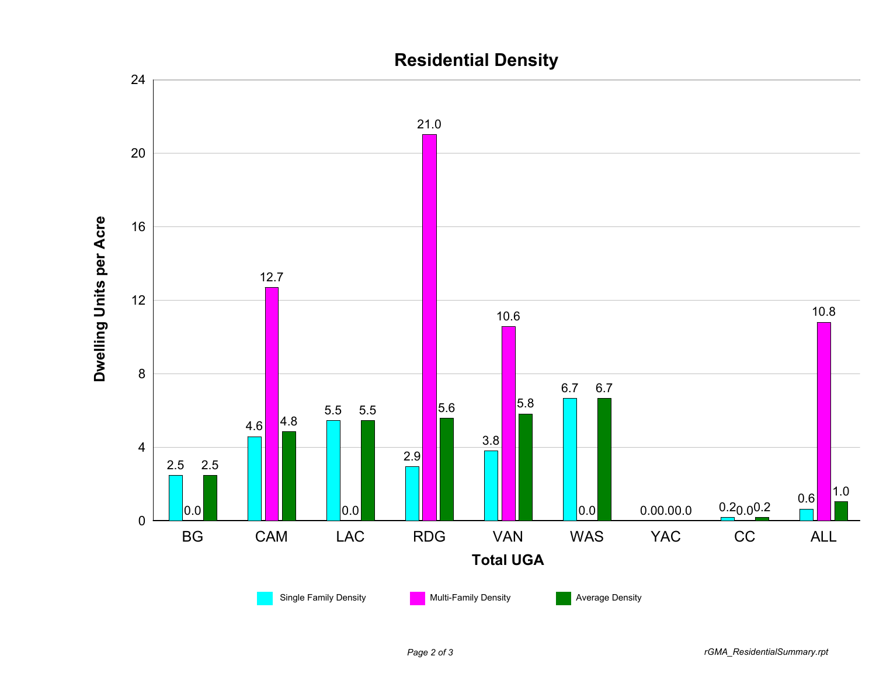